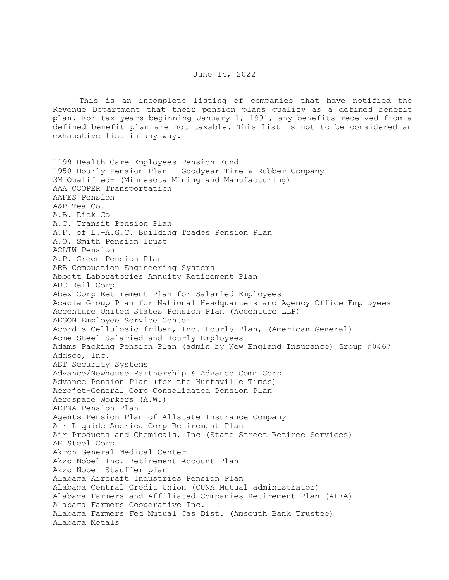## June 14, 2022

 This is an incomplete listing of companies that have notified the Revenue Department that their pension plans qualify as a defined benefit plan. For tax years beginning January 1, 1991, any benefits received from a defined benefit plan are not taxable. This list is not to be considered an exhaustive list in any way.

1199 Health Care Employees Pension Fund 1950 Hourly Pension Plan – Goodyear Tire & Rubber Company 3M Qualified- (Minnesota Mining and Manufacturing) AAA COOPER Transportation AAFES Pension A&P Tea Co. A.B. Dick Co A.C. Transit Pension Plan A.F. of L.-A.G.C. Building Trades Pension Plan A.O. Smith Pension Trust AOLTW Pension A.P. Green Pension Plan ABB Combustion Engineering Systems Abbott Laboratories Annuity Retirement Plan ABC Rail Corp Abex Corp Retirement Plan for Salaried Employees Acacia Group Plan for National Headquarters and Agency Office Employees Accenture United States Pension Plan (Accenture LLP) AEGON Employee Service Center Acordis Cellulosic friber, Inc. Hourly Plan, (American General) Acme Steel Salaried and Hourly Employees Adams Packing Pension Plan (admin by New England Insurance) Group #0467 Addsco, Inc. ADT Security Systems Advance/Newhouse Partnership & Advance Comm Corp Advance Pension Plan (for the Huntsville Times) Aerojet-General Corp Consolidated Pension Plan Aerospace Workers (A.W.) AETNA Pension Plan Agents Pension Plan of Allstate Insurance Company Air Liquide America Corp Retirement Plan Air Products and Chemicals, Inc (State Street Retiree Services) AK Steel Corp Akron General Medical Center Akzo Nobel Inc. Retirement Account Plan Akzo Nobel Stauffer plan Alabama Aircraft Industries Pension Plan Alabama Central Credit Union (CUNA Mutual administrator) Alabama Farmers and Affiliated Companies Retirement Plan (ALFA) Alabama Farmers Cooperative Inc. Alabama Farmers Fed Mutual Cas Dist. (Amsouth Bank Trustee) Alabama Metals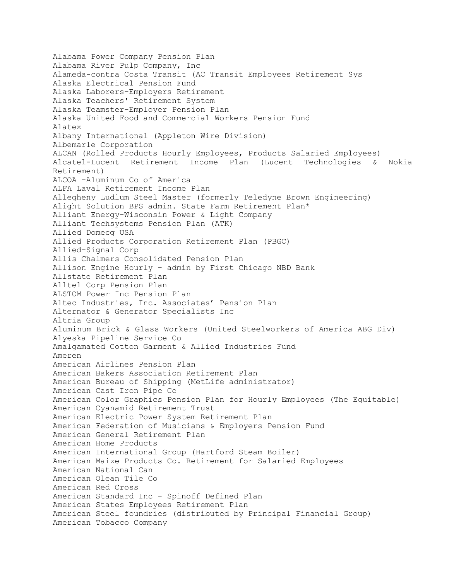Alabama Power Company Pension Plan Alabama River Pulp Company, Inc Alameda-contra Costa Transit (AC Transit Employees Retirement Sys Alaska Electrical Pension Fund Alaska Laborers-Employers Retirement Alaska Teachers' Retirement System Alaska Teamster-Employer Pension Plan Alaska United Food and Commercial Workers Pension Fund Alatex Albany International (Appleton Wire Division) Albemarle Corporation ALCAN (Rolled Products Hourly Employees, Products Salaried Employees) Alcatel-Lucent Retirement Income Plan (Lucent Technologies & Nokia Retirement) ALCOA -Aluminum Co of America ALFA Laval Retirement Income Plan Allegheny Ludlum Steel Master (formerly Teledyne Brown Engineering) Alight Solution BPS admin. State Farm Retirement Plan\* Alliant Energy-Wisconsin Power & Light Company Alliant Techsystems Pension Plan (ATK) Allied Domecq USA Allied Products Corporation Retirement Plan (PBGC) Allied-Signal Corp Allis Chalmers Consolidated Pension Plan Allison Engine Hourly - admin by First Chicago NBD Bank Allstate Retirement Plan Alltel Corp Pension Plan ALSTOM Power Inc Pension Plan Altec Industries, Inc. Associates' Pension Plan Alternator & Generator Specialists Inc Altria Group Aluminum Brick & Glass Workers (United Steelworkers of America ABG Div) Alyeska Pipeline Service Co Amalgamated Cotton Garment & Allied Industries Fund Ameren American Airlines Pension Plan American Bakers Association Retirement Plan American Bureau of Shipping (MetLife administrator) American Cast Iron Pipe Co American Color Graphics Pension Plan for Hourly Employees (The Equitable) American Cyanamid Retirement Trust American Electric Power System Retirement Plan American Federation of Musicians & Employers Pension Fund American General Retirement Plan American Home Products American International Group (Hartford Steam Boiler) American Maize Products Co. Retirement for Salaried Employees American National Can American Olean Tile Co American Red Cross American Standard Inc - Spinoff Defined Plan American States Employees Retirement Plan American Steel foundries (distributed by Principal Financial Group) American Tobacco Company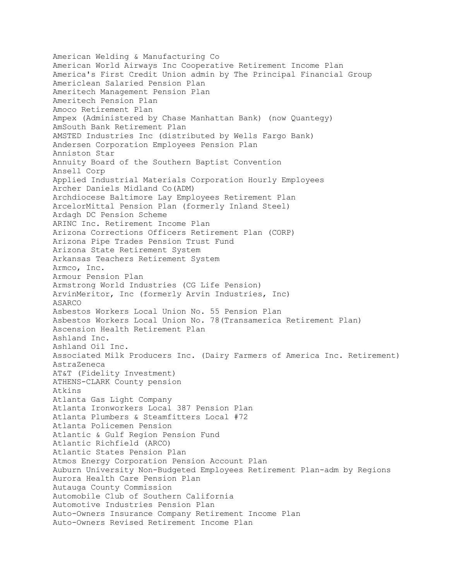American Welding & Manufacturing Co American World Airways Inc Cooperative Retirement Income Plan America's First Credit Union admin by The Principal Financial Group Americlean Salaried Pension Plan Ameritech Management Pension Plan Ameritech Pension Plan Amoco Retirement Plan Ampex (Administered by Chase Manhattan Bank) (now Quantegy) AmSouth Bank Retirement Plan AMSTED Industries Inc (distributed by Wells Fargo Bank) Andersen Corporation Employees Pension Plan Anniston Star Annuity Board of the Southern Baptist Convention Ansell Corp Applied Industrial Materials Corporation Hourly Employees Archer Daniels Midland Co(ADM) Archdiocese Baltimore Lay Employees Retirement Plan ArcelorMittal Pension Plan (formerly Inland Steel) Ardagh DC Pension Scheme ARINC Inc. Retirement Income Plan Arizona Corrections Officers Retirement Plan (CORP) Arizona Pipe Trades Pension Trust Fund Arizona State Retirement System Arkansas Teachers Retirement System Armco, Inc. Armour Pension Plan Armstrong World Industries (CG Life Pension) ArvinMeritor, Inc (formerly Arvin Industries, Inc) ASARCO Asbestos Workers Local Union No. 55 Pension Plan Asbestos Workers Local Union No. 78(Transamerica Retirement Plan) Ascension Health Retirement Plan Ashland Inc. Ashland Oil Inc. Associated Milk Producers Inc. (Dairy Farmers of America Inc. Retirement) AstraZeneca AT&T (Fidelity Investment) ATHENS-CLARK County pension Atkins Atlanta Gas Light Company Atlanta Ironworkers Local 387 Pension Plan Atlanta Plumbers & Steamfitters Local #72 Atlanta Policemen Pension Atlantic & Gulf Region Pension Fund Atlantic Richfield (ARCO) Atlantic States Pension Plan Atmos Energy Corporation Pension Account Plan Auburn University Non-Budgeted Employees Retirement Plan-adm by Regions Aurora Health Care Pension Plan Autauga County Commission Automobile Club of Southern California Automotive Industries Pension Plan Auto-Owners Insurance Company Retirement Income Plan Auto-Owners Revised Retirement Income Plan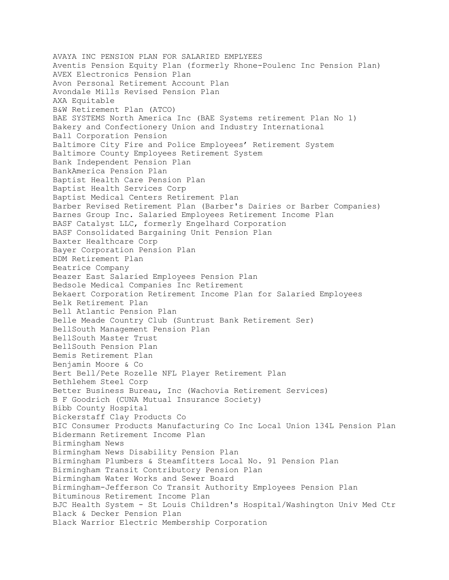AVAYA INC PENSION PLAN FOR SALARIED EMPLYEES Aventis Pension Equity Plan (formerly Rhone-Poulenc Inc Pension Plan) AVEX Electronics Pension Plan Avon Personal Retirement Account Plan Avondale Mills Revised Pension Plan AXA Equitable B&W Retirement Plan (ATCO) BAE SYSTEMS North America Inc (BAE Systems retirement Plan No 1) Bakery and Confectionery Union and Industry International Ball Corporation Pension Baltimore City Fire and Police Employees' Retirement System Baltimore County Employees Retirement System Bank Independent Pension Plan BankAmerica Pension Plan Baptist Health Care Pension Plan Baptist Health Services Corp Baptist Medical Centers Retirement Plan Barber Revised Retirement Plan (Barber's Dairies or Barber Companies) Barnes Group Inc. Salaried Employees Retirement Income Plan BASF Catalyst LLC, formerly Engelhard Corporation BASF Consolidated Bargaining Unit Pension Plan Baxter Healthcare Corp Bayer Corporation Pension Plan BDM Retirement Plan Beatrice Company Beazer East Salaried Employees Pension Plan Bedsole Medical Companies Inc Retirement Bekaert Corporation Retirement Income Plan for Salaried Employees Belk Retirement Plan Bell Atlantic Pension Plan Belle Meade Country Club (Suntrust Bank Retirement Ser) BellSouth Management Pension Plan BellSouth Master Trust BellSouth Pension Plan Bemis Retirement Plan Benjamin Moore & Co Bert Bell/Pete Rozelle NFL Player Retirement Plan Bethlehem Steel Corp Better Business Bureau, Inc (Wachovia Retirement Services) B F Goodrich (CUNA Mutual Insurance Society) Bibb County Hospital Bickerstaff Clay Products Co BIC Consumer Products Manufacturing Co Inc Local Union 134L Pension Plan Bidermann Retirement Income Plan Birmingham News Birmingham News Disability Pension Plan Birmingham Plumbers & Steamfitters Local No. 91 Pension Plan Birmingham Transit Contributory Pension Plan Birmingham Water Works and Sewer Board Birmingham-Jefferson Co Transit Authority Employees Pension Plan Bituminous Retirement Income Plan BJC Health System - St Louis Children's Hospital/Washington Univ Med Ctr Black & Decker Pension Plan Black Warrior Electric Membership Corporation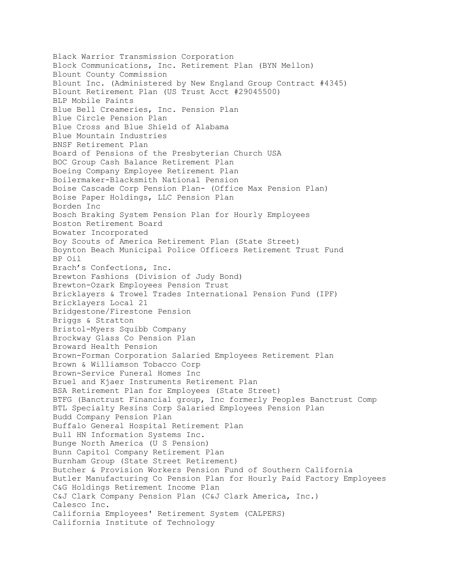Black Warrior Transmission Corporation Block Communications, Inc. Retirement Plan (BYN Mellon) Blount County Commission Blount Inc. (Administered by New England Group Contract #4345) Blount Retirement Plan (US Trust Acct #29045500) BLP Mobile Paints Blue Bell Creameries, Inc. Pension Plan Blue Circle Pension Plan Blue Cross and Blue Shield of Alabama Blue Mountain Industries BNSF Retirement Plan Board of Pensions of the Presbyterian Church USA BOC Group Cash Balance Retirement Plan Boeing Company Employee Retirement Plan Boilermaker-Blacksmith National Pension Boise Cascade Corp Pension Plan- (Office Max Pension Plan) Boise Paper Holdings, LLC Pension Plan Borden Inc Bosch Braking System Pension Plan for Hourly Employees Boston Retirement Board Bowater Incorporated Boy Scouts of America Retirement Plan (State Street) Boynton Beach Municipal Police Officers Retirement Trust Fund BP Oil Brach's Confections, Inc. Brewton Fashions (Division of Judy Bond) Brewton-Ozark Employees Pension Trust Bricklayers & Trowel Trades International Pension Fund (IPF) Bricklayers Local 21 Bridgestone/Firestone Pension Briggs & Stratton Bristol-Myers Squibb Company Brockway Glass Co Pension Plan Broward Health Pension Brown-Forman Corporation Salaried Employees Retirement Plan Brown & Williamson Tobacco Corp Brown-Service Funeral Homes Inc Bruel and Kjaer Instruments Retirement Plan BSA Retirement Plan for Employees (State Street) BTFG (Banctrust Financial group, Inc formerly Peoples Banctrust Comp BTL Specialty Resins Corp Salaried Employees Pension Plan Budd Company Pension Plan Buffalo General Hospital Retirement Plan Bull HN Information Systems Inc. Bunge North America (U S Pension) Bunn Capitol Company Retirement Plan Burnham Group (State Street Retirement) Butcher & Provision Workers Pension Fund of Southern California Butler Manufacturing Co Pension Plan for Hourly Paid Factory Employees C&G Holdings Retirement Income Plan C&J Clark Company Pension Plan (C&J Clark America, Inc.) Calesco Inc. California Employees' Retirement System (CALPERS) California Institute of Technology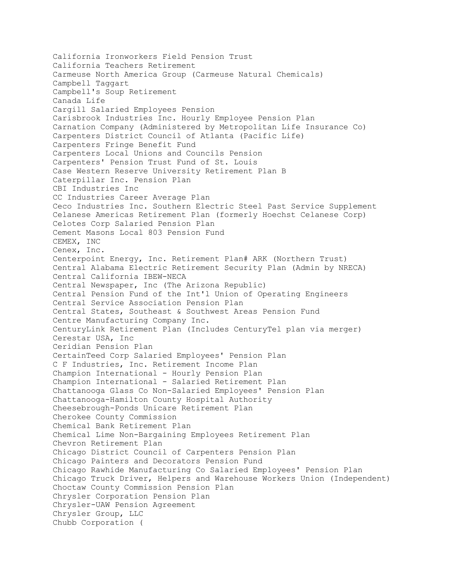California Ironworkers Field Pension Trust California Teachers Retirement Carmeuse North America Group (Carmeuse Natural Chemicals) Campbell Taggart Campbell's Soup Retirement Canada Life Cargill Salaried Employees Pension Carisbrook Industries Inc. Hourly Employee Pension Plan Carnation Company (Administered by Metropolitan Life Insurance Co) Carpenters District Council of Atlanta (Pacific Life) Carpenters Fringe Benefit Fund Carpenters Local Unions and Councils Pension Carpenters' Pension Trust Fund of St. Louis Case Western Reserve University Retirement Plan B Caterpillar Inc. Pension Plan CBI Industries Inc CC Industries Career Average Plan Ceco Industries Inc. Southern Electric Steel Past Service Supplement Celanese Americas Retirement Plan (formerly Hoechst Celanese Corp) Celotes Corp Salaried Pension Plan Cement Masons Local 803 Pension Fund CEMEX, INC Cenex, Inc. Centerpoint Energy, Inc. Retirement Plan# ARK (Northern Trust) Central Alabama Electric Retirement Security Plan (Admin by NRECA) Central California IBEW-NECA Central Newspaper, Inc (The Arizona Republic) Central Pension Fund of the Int'l Union of Operating Engineers Central Service Association Pension Plan Central States, Southeast & Southwest Areas Pension Fund Centre Manufacturing Company Inc. CenturyLink Retirement Plan (Includes CenturyTel plan via merger) Cerestar USA, Inc Ceridian Pension Plan CertainTeed Corp Salaried Employees' Pension Plan C F Industries, Inc. Retirement Income Plan Champion International - Hourly Pension Plan Champion International - Salaried Retirement Plan Chattanooga Glass Co Non-Salaried Employees' Pension Plan Chattanooga-Hamilton County Hospital Authority Cheesebrough-Ponds Unicare Retirement Plan Cherokee County Commission Chemical Bank Retirement Plan Chemical Lime Non-Bargaining Employees Retirement Plan Chevron Retirement Plan Chicago District Council of Carpenters Pension Plan Chicago Painters and Decorators Pension Fund Chicago Rawhide Manufacturing Co Salaried Employees' Pension Plan Chicago Truck Driver, Helpers and Warehouse Workers Union (Independent) Choctaw County Commission Pension Plan Chrysler Corporation Pension Plan Chrysler-UAW Pension Agreement Chrysler Group, LLC Chubb Corporation (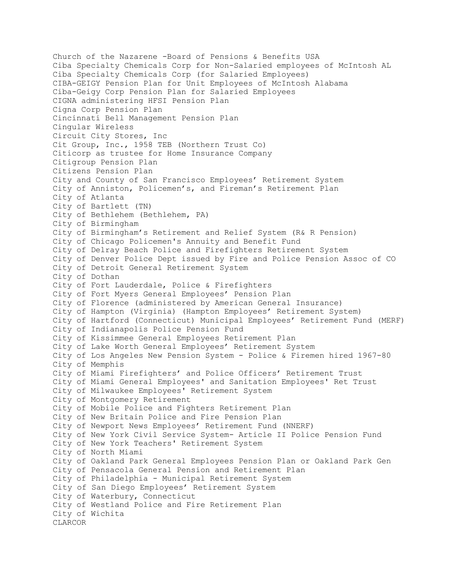Church of the Nazarene -Board of Pensions & Benefits USA Ciba Specialty Chemicals Corp for Non-Salaried employees of McIntosh AL Ciba Specialty Chemicals Corp (for Salaried Employees) CIBA-GEIGY Pension Plan for Unit Employees of McIntosh Alabama Ciba-Geigy Corp Pension Plan for Salaried Employees CIGNA administering HFSI Pension Plan Cigna Corp Pension Plan Cincinnati Bell Management Pension Plan Cingular Wireless Circuit City Stores, Inc Cit Group, Inc., 1958 TEB (Northern Trust Co) Citicorp as trustee for Home Insurance Company Citigroup Pension Plan Citizens Pension Plan City and County of San Francisco Employees' Retirement System City of Anniston, Policemen's, and Fireman's Retirement Plan City of Atlanta City of Bartlett (TN) City of Bethlehem (Bethlehem, PA) City of Birmingham City of Birmingham's Retirement and Relief System (R& R Pension) City of Chicago Policemen's Annuity and Benefit Fund City of Delray Beach Police and Firefighters Retirement System City of Denver Police Dept issued by Fire and Police Pension Assoc of CO City of Detroit General Retirement System City of Dothan City of Fort Lauderdale, Police & Firefighters City of Fort Myers General Employees' Pension Plan City of Florence (administered by American General Insurance) City of Hampton (Virginia) (Hampton Employees' Retirement System) City of Hartford (Connecticut) Municipal Employees' Retirement Fund (MERF) City of Indianapolis Police Pension Fund City of Kissimmee General Employees Retirement Plan City of Lake Worth General Employees' Retirement System City of Los Angeles New Pension System - Police & Firemen hired 1967-80 City of Memphis City of Miami Firefighters' and Police Officers' Retirement Trust City of Miami General Employees' and Sanitation Employees' Ret Trust City of Milwaukee Employees' Retirement System City of Montgomery Retirement City of Mobile Police and Fighters Retirement Plan City of New Britain Police and Fire Pension Plan City of Newport News Employees' Retirement Fund (NNERF) City of New York Civil Service System- Article II Police Pension Fund City of New York Teachers' Retirement System City of North Miami City of Oakland Park General Employees Pension Plan or Oakland Park Gen City of Pensacola General Pension and Retirement Plan City of Philadelphia - Municipal Retirement System City of San Diego Employees' Retirement System City of Waterbury, Connecticut City of Westland Police and Fire Retirement Plan City of Wichita CLARCOR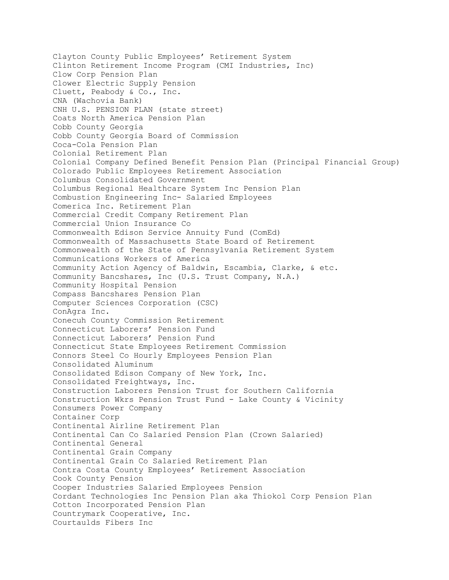Clayton County Public Employees' Retirement System Clinton Retirement Income Program (CMI Industries, Inc) Clow Corp Pension Plan Clower Electric Supply Pension Cluett, Peabody & Co., Inc. CNA (Wachovia Bank) CNH U.S. PENSION PLAN (state street) Coats North America Pension Plan Cobb County Georgia Cobb County Georgia Board of Commission Coca-Cola Pension Plan Colonial Retirement Plan Colonial Company Defined Benefit Pension Plan (Principal Financial Group) Colorado Public Employees Retirement Association Columbus Consolidated Government Columbus Regional Healthcare System Inc Pension Plan Combustion Engineering Inc- Salaried Employees Comerica Inc. Retirement Plan Commercial Credit Company Retirement Plan Commercial Union Insurance Co Commonwealth Edison Service Annuity Fund (ComEd) Commonwealth of Massachusetts State Board of Retirement Commonwealth of the State of Pennsylvania Retirement System Communications Workers of America Community Action Agency of Baldwin, Escambia, Clarke, & etc. Community Bancshares, Inc (U.S. Trust Company, N.A.) Community Hospital Pension Compass Bancshares Pension Plan Computer Sciences Corporation (CSC) ConAgra Inc. Conecuh County Commission Retirement Connecticut Laborers' Pension Fund Connecticut Laborers' Pension Fund Connecticut State Employees Retirement Commission Connors Steel Co Hourly Employees Pension Plan Consolidated Aluminum Consolidated Edison Company of New York, Inc. Consolidated Freightways, Inc. Construction Laborers Pension Trust for Southern California Construction Wkrs Pension Trust Fund - Lake County & Vicinity Consumers Power Company Container Corp Continental Airline Retirement Plan Continental Can Co Salaried Pension Plan (Crown Salaried) Continental General Continental Grain Company Continental Grain Co Salaried Retirement Plan Contra Costa County Employees' Retirement Association Cook County Pension Cooper Industries Salaried Employees Pension Cordant Technologies Inc Pension Plan aka Thiokol Corp Pension Plan Cotton Incorporated Pension Plan Countrymark Cooperative, Inc. Courtaulds Fibers Inc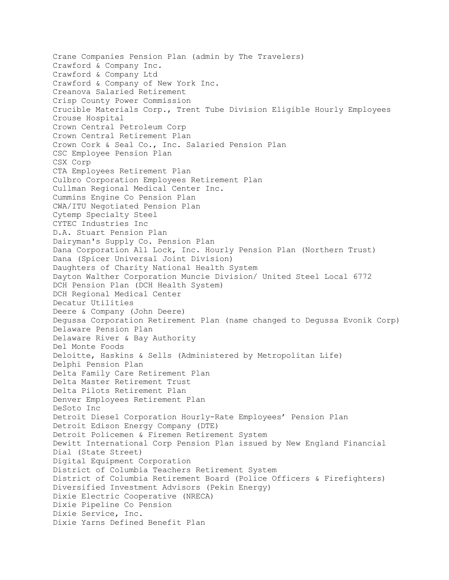Crane Companies Pension Plan (admin by The Travelers) Crawford & Company Inc. Crawford & Company Ltd Crawford & Company of New York Inc. Creanova Salaried Retirement Crisp County Power Commission Crucible Materials Corp., Trent Tube Division Eligible Hourly Employees Crouse Hospital Crown Central Petroleum Corp Crown Central Retirement Plan Crown Cork & Seal Co., Inc. Salaried Pension Plan CSC Employee Pension Plan CSX Corp CTA Employees Retirement Plan Culbro Corporation Employees Retirement Plan Cullman Regional Medical Center Inc. Cummins Engine Co Pension Plan CWA/ITU Negotiated Pension Plan Cytemp Specialty Steel CYTEC Industries Inc D.A. Stuart Pension Plan Dairyman's Supply Co. Pension Plan Dana Corporation All Lock, Inc. Hourly Pension Plan (Northern Trust) Dana (Spicer Universal Joint Division) Daughters of Charity National Health System Dayton Walther Corporation Muncie Division/ United Steel Local 6772 DCH Pension Plan (DCH Health System) DCH Regional Medical Center Decatur Utilities Deere & Company (John Deere) Degussa Corporation Retirement Plan (name changed to Degussa Evonik Corp) Delaware Pension Plan Delaware River & Bay Authority Del Monte Foods Deloitte, Haskins & Sells (Administered by Metropolitan Life) Delphi Pension Plan Delta Family Care Retirement Plan Delta Master Retirement Trust Delta Pilots Retirement Plan Denver Employees Retirement Plan DeSoto Inc Detroit Diesel Corporation Hourly-Rate Employees' Pension Plan Detroit Edison Energy Company (DTE) Detroit Policemen & Firemen Retirement System Dewitt International Corp Pension Plan issued by New England Financial Dial (State Street) Digital Equipment Corporation District of Columbia Teachers Retirement System District of Columbia Retirement Board (Police Officers & Firefighters) Diversified Investment Advisors (Pekin Energy) Dixie Electric Cooperative (NRECA) Dixie Pipeline Co Pension Dixie Service, Inc. Dixie Yarns Defined Benefit Plan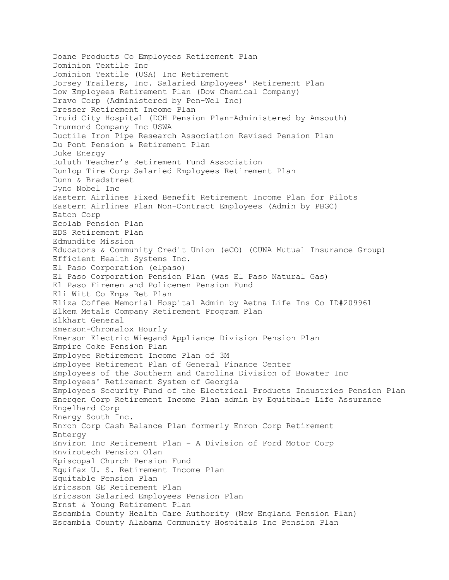Doane Products Co Employees Retirement Plan Dominion Textile Inc Dominion Textile (USA) Inc Retirement Dorsey Trailers, Inc. Salaried Employees' Retirement Plan Dow Employees Retirement Plan (Dow Chemical Company) Dravo Corp (Administered by Pen-Wel Inc) Dresser Retirement Income Plan Druid City Hospital (DCH Pension Plan-Administered by Amsouth) Drummond Company Inc USWA Ductile Iron Pipe Research Association Revised Pension Plan Du Pont Pension & Retirement Plan Duke Energy Duluth Teacher's Retirement Fund Association Dunlop Tire Corp Salaried Employees Retirement Plan Dunn & Bradstreet Dyno Nobel Inc Eastern Airlines Fixed Benefit Retirement Income Plan for Pilots Eastern Airlines Plan Non-Contract Employees (Admin by PBGC) Eaton Corp Ecolab Pension Plan EDS Retirement Plan Edmundite Mission Educators & Community Credit Union (eCO) (CUNA Mutual Insurance Group) Efficient Health Systems Inc. El Paso Corporation (elpaso) El Paso Corporation Pension Plan (was El Paso Natural Gas) El Paso Firemen and Policemen Pension Fund Eli Witt Co Emps Ret Plan Eliza Coffee Memorial Hospital Admin by Aetna Life Ins Co ID#209961 Elkem Metals Company Retirement Program Plan Elkhart General Emerson-Chromalox Hourly Emerson Electric Wiegand Appliance Division Pension Plan Empire Coke Pension Plan Employee Retirement Income Plan of 3M Employee Retirement Plan of General Finance Center Employees of the Southern and Carolina Division of Bowater Inc Employees' Retirement System of Georgia Employees Security Fund of the Electrical Products Industries Pension Plan Energen Corp Retirement Income Plan admin by Equitbale Life Assurance Engelhard Corp Energy South Inc. Enron Corp Cash Balance Plan formerly Enron Corp Retirement Entergy Environ Inc Retirement Plan - A Division of Ford Motor Corp Envirotech Pension Olan Episcopal Church Pension Fund Equifax U. S. Retirement Income Plan Equitable Pension Plan Ericsson GE Retirement Plan Ericsson Salaried Employees Pension Plan Ernst & Young Retirement Plan Escambia County Health Care Authority (New England Pension Plan) Escambia County Alabama Community Hospitals Inc Pension Plan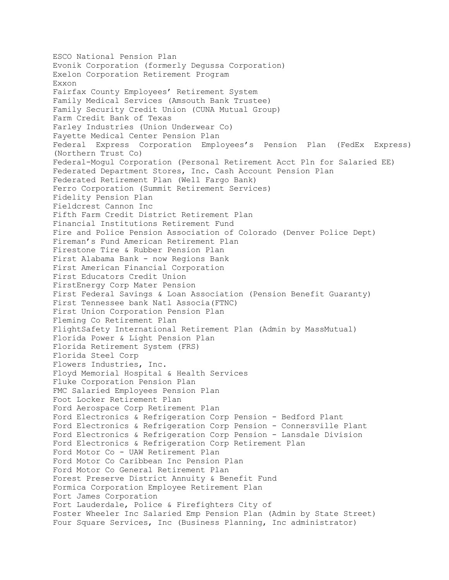ESCO National Pension Plan Evonik Corporation (formerly Degussa Corporation) Exelon Corporation Retirement Program Exxon Fairfax County Employees' Retirement System Family Medical Services (Amsouth Bank Trustee) Family Security Credit Union (CUNA Mutual Group) Farm Credit Bank of Texas Farley Industries (Union Underwear Co) Fayette Medical Center Pension Plan Federal Express Corporation Employees's Pension Plan (FedEx Express) (Northern Trust Co) Federal-Mogul Corporation (Personal Retirement Acct Pln for Salaried EE) Federated Department Stores, Inc. Cash Account Pension Plan Federated Retirement Plan (Well Fargo Bank) Ferro Corporation (Summit Retirement Services) Fidelity Pension Plan Fieldcrest Cannon Inc Fifth Farm Credit District Retirement Plan Financial Institutions Retirement Fund Fire and Police Pension Association of Colorado (Denver Police Dept) Fireman's Fund American Retirement Plan Firestone Tire & Rubber Pension Plan First Alabama Bank - now Regions Bank First American Financial Corporation First Educators Credit Union FirstEnergy Corp Mater Pension First Federal Savings & Loan Association (Pension Benefit Guaranty) First Tennessee bank Natl Associa(FTNC) First Union Corporation Pension Plan Fleming Co Retirement Plan FlightSafety International Retirement Plan (Admin by MassMutual) Florida Power & Light Pension Plan Florida Retirement System (FRS) Florida Steel Corp Flowers Industries, Inc. Floyd Memorial Hospital & Health Services Fluke Corporation Pension Plan FMC Salaried Employees Pension Plan Foot Locker Retirement Plan Ford Aerospace Corp Retirement Plan Ford Electronics & Refrigeration Corp Pension - Bedford Plant Ford Electronics & Refrigeration Corp Pension - Connersville Plant Ford Electronics & Refrigeration Corp Pension - Lansdale Division Ford Electronics & Refrigeration Corp Retirement Plan Ford Motor Co - UAW Retirement Plan Ford Motor Co Caribbean Inc Pension Plan Ford Motor Co General Retirement Plan Forest Preserve District Annuity & Benefit Fund Formica Corporation Employee Retirement Plan Fort James Corporation Fort Lauderdale, Police & Firefighters City of Foster Wheeler Inc Salaried Emp Pension Plan (Admin by State Street) Four Square Services, Inc (Business Planning, Inc administrator)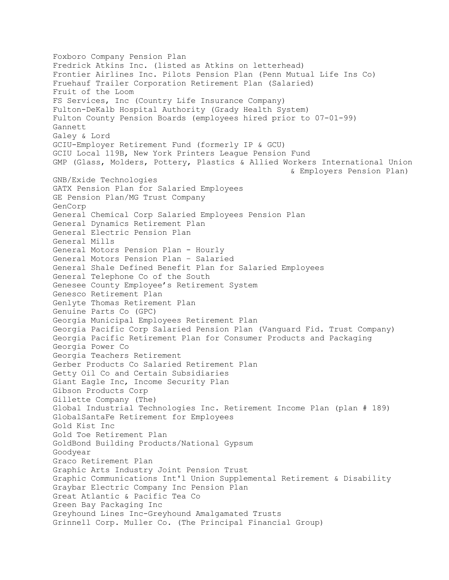Foxboro Company Pension Plan Fredrick Atkins Inc. (listed as Atkins on letterhead) Frontier Airlines Inc. Pilots Pension Plan (Penn Mutual Life Ins Co) Fruehauf Trailer Corporation Retirement Plan (Salaried) Fruit of the Loom FS Services, Inc (Country Life Insurance Company) Fulton-DeKalb Hospital Authority (Grady Health System) Fulton County Pension Boards (employees hired prior to 07-01-99) Gannett Galey & Lord GCIU-Employer Retirement Fund (formerly IP & GCU) GCIU Local 119B, New York Printers League Pension Fund GMP (Glass, Molders, Pottery, Plastics & Allied Workers International Union & Employers Pension Plan) GNB/Exide Technologies GATX Pension Plan for Salaried Employees GE Pension Plan/MG Trust Company GenCorp General Chemical Corp Salaried Employees Pension Plan General Dynamics Retirement Plan General Electric Pension Plan General Mills General Motors Pension Plan - Hourly General Motors Pension Plan – Salaried General Shale Defined Benefit Plan for Salaried Employees General Telephone Co of the South Genesee County Employee's Retirement System Genesco Retirement Plan Genlyte Thomas Retirement Plan Genuine Parts Co (GPC) Georgia Municipal Employees Retirement Plan Georgia Pacific Corp Salaried Pension Plan (Vanguard Fid. Trust Company) Georgia Pacific Retirement Plan for Consumer Products and Packaging Georgia Power Co Georgia Teachers Retirement Gerber Products Co Salaried Retirement Plan Getty Oil Co and Certain Subsidiaries Giant Eagle Inc, Income Security Plan Gibson Products Corp Gillette Company (The) Global Industrial Technologies Inc. Retirement Income Plan (plan # 189) GlobalSantaFe Retirement for Employees Gold Kist Inc Gold Toe Retirement Plan GoldBond Building Products/National Gypsum Goodyear Graco Retirement Plan Graphic Arts Industry Joint Pension Trust Graphic Communications Int'l Union Supplemental Retirement & Disability Graybar Electric Company Inc Pension Plan Great Atlantic & Pacific Tea Co Green Bay Packaging Inc Greyhound Lines Inc-Greyhound Amalgamated Trusts Grinnell Corp. Muller Co. (The Principal Financial Group)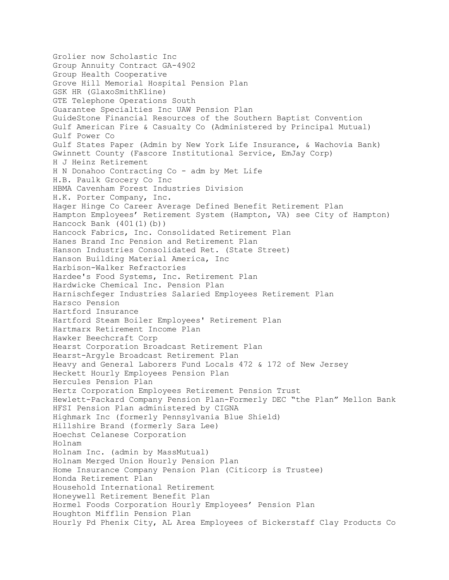Grolier now Scholastic Inc Group Annuity Contract GA-4902 Group Health Cooperative Grove Hill Memorial Hospital Pension Plan GSK HR (GlaxoSmithKline) GTE Telephone Operations South Guarantee Specialties Inc UAW Pension Plan GuideStone Financial Resources of the Southern Baptist Convention Gulf American Fire & Casualty Co (Administered by Principal Mutual) Gulf Power Co Gulf States Paper (Admin by New York Life Insurance, & Wachovia Bank) Gwinnett County (Fascore Institutional Service, EmJay Corp) H J Heinz Retirement H N Donahoo Contracting Co - adm by Met Life H.B. Paulk Grocery Co Inc HBMA Cavenham Forest Industries Division H.K. Porter Company, Inc. Hager Hinge Co Career Average Defined Benefit Retirement Plan Hampton Employees' Retirement System (Hampton, VA) see City of Hampton) Hancock Bank (401(1)(b)) Hancock Fabrics, Inc. Consolidated Retirement Plan Hanes Brand Inc Pension and Retirement Plan Hanson Industries Consolidated Ret. (State Street) Hanson Building Material America, Inc Harbison-Walker Refractories Hardee's Food Systems, Inc. Retirement Plan Hardwicke Chemical Inc. Pension Plan Harnischfeger Industries Salaried Employees Retirement Plan Harsco Pension Hartford Insurance Hartford Steam Boiler Employees' Retirement Plan Hartmarx Retirement Income Plan Hawker Beechcraft Corp Hearst Corporation Broadcast Retirement Plan Hearst-Argyle Broadcast Retirement Plan Heavy and General Laborers Fund Locals 472 & 172 of New Jersey Heckett Hourly Employees Pension Plan Hercules Pension Plan Hertz Corporation Employees Retirement Pension Trust Hewlett-Packard Company Pension Plan-Formerly DEC "the Plan" Mellon Bank HFSI Pension Plan administered by CIGNA Highmark Inc (formerly Pennsylvania Blue Shield) Hillshire Brand (formerly Sara Lee) Hoechst Celanese Corporation Holnam Holnam Inc. (admin by MassMutual) Holnam Merged Union Hourly Pension Plan Home Insurance Company Pension Plan (Citicorp is Trustee) Honda Retirement Plan Household International Retirement Honeywell Retirement Benefit Plan Hormel Foods Corporation Hourly Employees' Pension Plan Houghton Mifflin Pension Plan Hourly Pd Phenix City, AL Area Employees of Bickerstaff Clay Products Co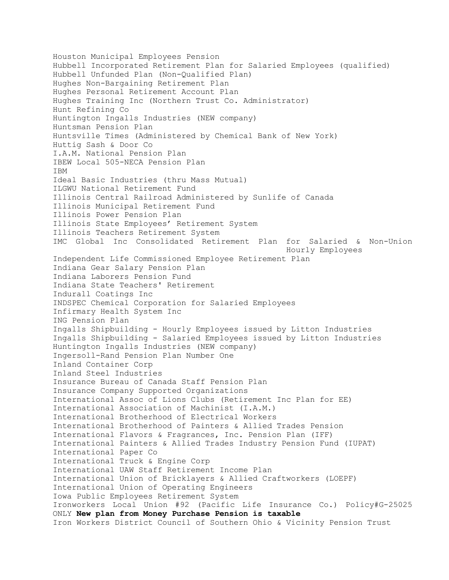Houston Municipal Employees Pension Hubbell Incorporated Retirement Plan for Salaried Employees (qualified) Hubbell Unfunded Plan (Non-Qualified Plan) Hughes Non-Bargaining Retirement Plan Hughes Personal Retirement Account Plan Hughes Training Inc (Northern Trust Co. Administrator) Hunt Refining Co Huntington Ingalls Industries (NEW company) Huntsman Pension Plan Huntsville Times (Administered by Chemical Bank of New York) Huttig Sash & Door Co I.A.M. National Pension Plan IBEW Local 505-NECA Pension Plan IBM Ideal Basic Industries (thru Mass Mutual) ILGWU National Retirement Fund Illinois Central Railroad Administered by Sunlife of Canada Illinois Municipal Retirement Fund Illinois Power Pension Plan Illinois State Employees' Retirement System Illinois Teachers Retirement System IMC Global Inc Consolidated Retirement Plan for Salaried & Non-Union Hourly Employees Independent Life Commissioned Employee Retirement Plan Indiana Gear Salary Pension Plan Indiana Laborers Pension Fund Indiana State Teachers' Retirement Indurall Coatings Inc INDSPEC Chemical Corporation for Salaried Employees Infirmary Health System Inc ING Pension Plan Ingalls Shipbuilding - Hourly Employees issued by Litton Industries Ingalls Shipbuilding - Salaried Employees issued by Litton Industries Huntington Ingalls Industries (NEW company) Ingersoll-Rand Pension Plan Number One Inland Container Corp Inland Steel Industries Insurance Bureau of Canada Staff Pension Plan Insurance Company Supported Organizations International Assoc of Lions Clubs (Retirement Inc Plan for EE) International Association of Machinist (I.A.M.) International Brotherhood of Electrical Workers International Brotherhood of Painters & Allied Trades Pension International Flavors & Fragrances, Inc. Pension Plan (IFF) International Painters & Allied Trades Industry Pension Fund (IUPAT) International Paper Co International Truck & Engine Corp International UAW Staff Retirement Income Plan International Union of Bricklayers & Allied Craftworkers (LOEPF) International Union of Operating Engineers Iowa Public Employees Retirement System Ironworkers Local Union #92 (Pacific Life Insurance Co.) Policy#G-25025 ONLY **New plan from Money Purchase Pension is taxable** Iron Workers District Council of Southern Ohio & Vicinity Pension Trust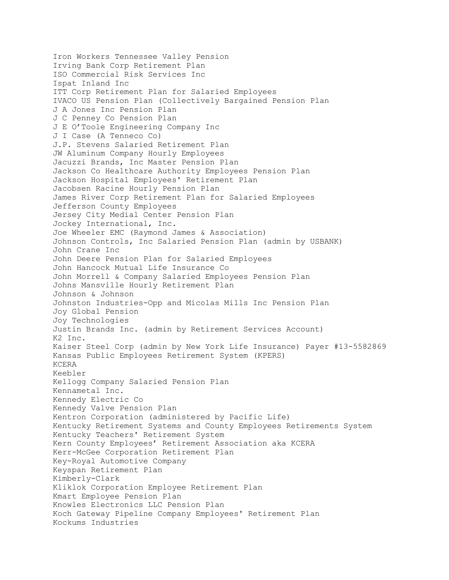Iron Workers Tennessee Valley Pension Irving Bank Corp Retirement Plan ISO Commercial Risk Services Inc Ispat Inland Inc ITT Corp Retirement Plan for Salaried Employees IVACO US Pension Plan (Collectively Bargained Pension Plan J A Jones Inc Pension Plan J C Penney Co Pension Plan J E O'Toole Engineering Company Inc J I Case (A Tenneco Co) J.P. Stevens Salaried Retirement Plan JW Aluminum Company Hourly Employees Jacuzzi Brands, Inc Master Pension Plan Jackson Co Healthcare Authority Employees Pension Plan Jackson Hospital Employees' Retirement Plan Jacobsen Racine Hourly Pension Plan James River Corp Retirement Plan for Salaried Employees Jefferson County Employees Jersey City Medial Center Pension Plan Jockey International, Inc. Joe Wheeler EMC (Raymond James & Association) Johnson Controls, Inc Salaried Pension Plan (admin by USBANK) John Crane Inc John Deere Pension Plan for Salaried Employees John Hancock Mutual Life Insurance Co John Morrell & Company Salaried Employees Pension Plan Johns Mansville Hourly Retirement Plan Johnson & Johnson Johnston Industries-Opp and Micolas Mills Inc Pension Plan Joy Global Pension Joy Technologies Justin Brands Inc. (admin by Retirement Services Account) K2 Inc. Kaiser Steel Corp (admin by New York Life Insurance) Payer #13-5582869 Kansas Public Employees Retirement System (KPERS) KCERA Keebler Kellogg Company Salaried Pension Plan Kennametal Inc. Kennedy Electric Co Kennedy Valve Pension Plan Kentron Corporation (administered by Pacific Life) Kentucky Retirement Systems and County Employees Retirements System Kentucky Teachers' Retirement System Kern County Employees' Retirement Association aka KCERA Kerr-McGee Corporation Retirement Plan Key-Royal Automotive Company Keyspan Retirement Plan Kimberly-Clark Kliklok Corporation Employee Retirement Plan Kmart Employee Pension Plan Knowles Electronics LLC Pension Plan Koch Gateway Pipeline Company Employees' Retirement Plan Kockums Industries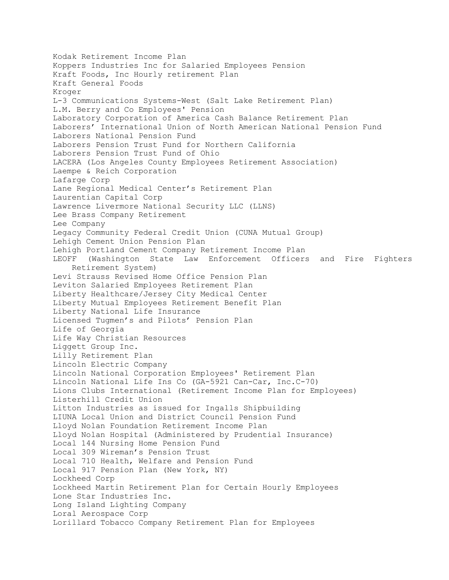Kodak Retirement Income Plan Koppers Industries Inc for Salaried Employees Pension Kraft Foods, Inc Hourly retirement Plan Kraft General Foods Kroger L-3 Communications Systems-West (Salt Lake Retirement Plan) L.M. Berry and Co Employees' Pension Laboratory Corporation of America Cash Balance Retirement Plan Laborers' International Union of North American National Pension Fund Laborers National Pension Fund Laborers Pension Trust Fund for Northern California Laborers Pension Trust Fund of Ohio LACERA (Los Angeles County Employees Retirement Association) Laempe & Reich Corporation Lafarge Corp Lane Regional Medical Center's Retirement Plan Laurentian Capital Corp Lawrence Livermore National Security LLC (LLNS) Lee Brass Company Retirement Lee Company Legacy Community Federal Credit Union (CUNA Mutual Group) Lehigh Cement Union Pension Plan Lehigh Portland Cement Company Retirement Income Plan LEOFF (Washington State Law Enforcement Officers and Fire Fighters Retirement System) Levi Strauss Revised Home Office Pension Plan Leviton Salaried Employees Retirement Plan Liberty Healthcare/Jersey City Medical Center Liberty Mutual Employees Retirement Benefit Plan Liberty National Life Insurance Licensed Tugmen's and Pilots' Pension Plan Life of Georgia Life Way Christian Resources Liggett Group Inc. Lilly Retirement Plan Lincoln Electric Company Lincoln National Corporation Employees' Retirement Plan Lincoln National Life Ins Co (GA-5921 Can-Car, Inc.C-70) Lions Clubs International (Retirement Income Plan for Employees) Listerhill Credit Union Litton Industries as issued for Ingalls Shipbuilding LIUNA Local Union and District Council Pension Fund Lloyd Nolan Foundation Retirement Income Plan Lloyd Nolan Hospital (Administered by Prudential Insurance) Local 144 Nursing Home Pension Fund Local 309 Wireman's Pension Trust Local 710 Health, Welfare and Pension Fund Local 917 Pension Plan (New York, NY) Lockheed Corp Lockheed Martin Retirement Plan for Certain Hourly Employees Lone Star Industries Inc. Long Island Lighting Company Loral Aerospace Corp Lorillard Tobacco Company Retirement Plan for Employees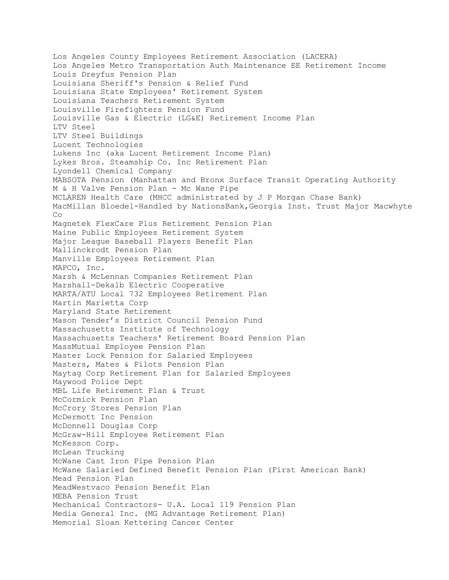Los Angeles County Employees Retirement Association (LACERA) Los Angeles Metro Transportation Auth Maintenance EE Retirement Income Louis Dreyfus Pension Plan Louisiana Sheriff's Pension & Relief Fund Louisiana State Employees' Retirement System Louisiana Teachers Retirement System Louisville Firefighters Pension Fund Louisville Gas & Electric (LG&E) Retirement Income Plan LTV Steel LTV Steel Buildings Lucent Technologies Lukens Inc (aka Lucent Retirement Income Plan) Lykes Bros. Steamship Co. Inc Retirement Plan Lyondell Chemical Company MABSOTA Pension (Manhattan and Bronx Surface Transit Operating Authority M & H Valve Pension Plan - Mc Wane Pipe MCLAREN Health Care (MHCC administrated by J P Morgan Chase Bank) MacMillan Bloedel-Handled by NationsBank,Georgia Inst. Trust Major Macwhyte Co Magnetek FlexCare Plus Retirement Pension Plan Maine Public Employees Retirement System Major League Baseball Players Benefit Plan Mallinckrodt Pension Plan Manville Employees Retirement Plan MAPCO, Inc. Marsh & McLennan Companies Retirement Plan Marshall-Dekalb Electric Cooperative MARTA/ATU Local 732 Employees Retirement Plan Martin Marietta Corp Maryland State Retirement Mason Tender's District Council Pension Fund Massachusetts Institute of Technology Massachusetts Teachers' Retirement Board Pension Plan MassMutual Employee Pension Plan Master Lock Pension for Salaried Employees Masters, Mates & Pilots Pension Plan Maytag Corp Retirement Plan for Salaried Employees Maywood Police Dept MBL Life Retirement Plan & Trust McCormick Pension Plan McCrory Stores Pension Plan McDermott Inc Pension McDonnell Douglas Corp McGraw-Hill Employee Retirement Plan McKesson Corp. McLean Trucking McWane Cast Iron Pipe Pension Plan McWane Salaried Defined Benefit Pension Plan (First American Bank) Mead Pension Plan MeadWestvaco Pension Benefit Plan MEBA Pension Trust Mechanical Contractors- U.A. Local 119 Pension Plan Media General Inc. (MG Advantage Retirement Plan) Memorial Sloan Kettering Cancer Center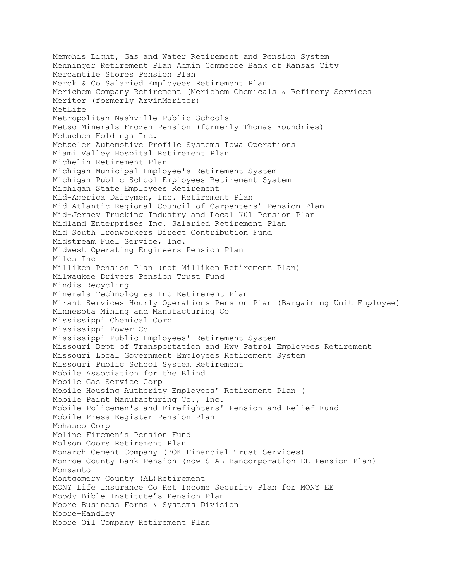Memphis Light, Gas and Water Retirement and Pension System Menninger Retirement Plan Admin Commerce Bank of Kansas City Mercantile Stores Pension Plan Merck & Co Salaried Employees Retirement Plan Merichem Company Retirement (Merichem Chemicals & Refinery Services Meritor (formerly ArvinMeritor) MetLife Metropolitan Nashville Public Schools Metso Minerals Frozen Pension (formerly Thomas Foundries) Metuchen Holdings Inc. Metzeler Automotive Profile Systems Iowa Operations Miami Valley Hospital Retirement Plan Michelin Retirement Plan Michigan Municipal Employee's Retirement System Michigan Public School Employees Retirement System Michigan State Employees Retirement Mid-America Dairymen, Inc. Retirement Plan Mid-Atlantic Regional Council of Carpenters' Pension Plan Mid-Jersey Trucking Industry and Local 701 Pension Plan Midland Enterprises Inc. Salaried Retirement Plan Mid South Ironworkers Direct Contribution Fund Midstream Fuel Service, Inc. Midwest Operating Engineers Pension Plan Miles Inc Milliken Pension Plan (not Milliken Retirement Plan) Milwaukee Drivers Pension Trust Fund Mindis Recycling Minerals Technologies Inc Retirement Plan Mirant Services Hourly Operations Pension Plan (Bargaining Unit Employee) Minnesota Mining and Manufacturing Co Mississippi Chemical Corp Mississippi Power Co Mississippi Public Employees' Retirement System Missouri Dept of Transportation and Hwy Patrol Employees Retirement Missouri Local Government Employees Retirement System Missouri Public School System Retirement Mobile Association for the Blind Mobile Gas Service Corp Mobile Housing Authority Employees' Retirement Plan ( Mobile Paint Manufacturing Co., Inc. Mobile Policemen's and Firefighters' Pension and Relief Fund Mobile Press Register Pension Plan Mohasco Corp Moline Firemen's Pension Fund Molson Coors Retirement Plan Monarch Cement Company (BOK Financial Trust Services) Monroe County Bank Pension (now S AL Bancorporation EE Pension Plan) Monsanto Montgomery County (AL) Retirement MONY Life Insurance Co Ret Income Security Plan for MONY EE Moody Bible Institute's Pension Plan Moore Business Forms & Systems Division Moore-Handley Moore Oil Company Retirement Plan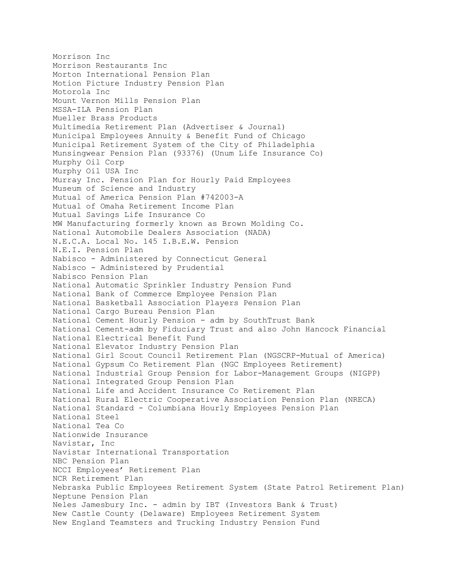Morrison Inc Morrison Restaurants Inc Morton International Pension Plan Motion Picture Industry Pension Plan Motorola Inc Mount Vernon Mills Pension Plan MSSA-ILA Pension Plan Mueller Brass Products Multimedia Retirement Plan (Advertiser & Journal) Municipal Employees Annuity & Benefit Fund of Chicago Municipal Retirement System of the City of Philadelphia Munsingwear Pension Plan (93376) (Unum Life Insurance Co) Murphy Oil Corp Murphy Oil USA Inc Murray Inc. Pension Plan for Hourly Paid Employees Museum of Science and Industry Mutual of America Pension Plan #742003-A Mutual of Omaha Retirement Income Plan Mutual Savings Life Insurance Co MW Manufacturing formerly known as Brown Molding Co. National Automobile Dealers Association (NADA) N.E.C.A. Local No. 145 I.B.E.W. Pension N.E.I. Pension Plan Nabisco - Administered by Connecticut General Nabisco - Administered by Prudential Nabisco Pension Plan National Automatic Sprinkler Industry Pension Fund National Bank of Commerce Employee Pension Plan National Basketball Association Players Pension Plan National Cargo Bureau Pension Plan National Cement Hourly Pension - adm by SouthTrust Bank National Cement-adm by Fiduciary Trust and also John Hancock Financial National Electrical Benefit Fund National Elevator Industry Pension Plan National Girl Scout Council Retirement Plan (NGSCRP-Mutual of America) National Gypsum Co Retirement Plan (NGC Employees Retirement) National Industrial Group Pension for Labor-Management Groups (NIGPP) National Integrated Group Pension Plan National Life and Accident Insurance Co Retirement Plan National Rural Electric Cooperative Association Pension Plan (NRECA) National Standard - Columbiana Hourly Employees Pension Plan National Steel National Tea Co Nationwide Insurance Navistar, Inc Navistar International Transportation NBC Pension Plan NCCI Employees' Retirement Plan NCR Retirement Plan Nebraska Public Employees Retirement System (State Patrol Retirement Plan) Neptune Pension Plan Neles Jamesbury Inc. - admin by IBT (Investors Bank & Trust) New Castle County (Delaware) Employees Retirement System New England Teamsters and Trucking Industry Pension Fund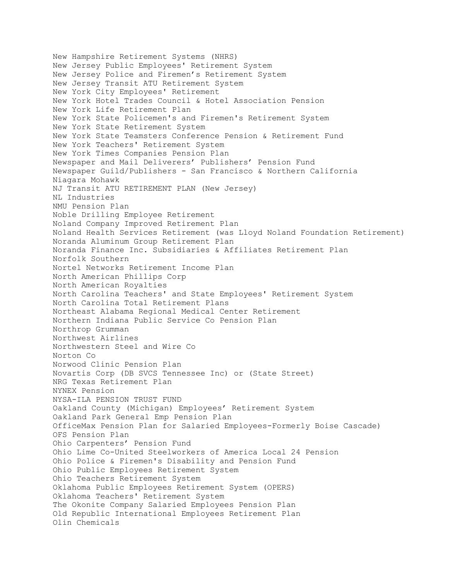New Hampshire Retirement Systems (NHRS) New Jersey Public Employees' Retirement System New Jersey Police and Firemen's Retirement System New Jersey Transit ATU Retirement System New York City Employees' Retirement New York Hotel Trades Council & Hotel Association Pension New York Life Retirement Plan New York State Policemen's and Firemen's Retirement System New York State Retirement System New York State Teamsters Conference Pension & Retirement Fund New York Teachers' Retirement System New York Times Companies Pension Plan Newspaper and Mail Deliverers' Publishers' Pension Fund Newspaper Guild/Publishers - San Francisco & Northern California Niagara Mohawk NJ Transit ATU RETIREMENT PLAN (New Jersey) NL Industries NMU Pension Plan Noble Drilling Employee Retirement Noland Company Improved Retirement Plan Noland Health Services Retirement (was Lloyd Noland Foundation Retirement) Noranda Aluminum Group Retirement Plan Noranda Finance Inc. Subsidiaries & Affiliates Retirement Plan Norfolk Southern Nortel Networks Retirement Income Plan North American Phillips Corp North American Royalties North Carolina Teachers' and State Employees' Retirement System North Carolina Total Retirement Plans Northeast Alabama Regional Medical Center Retirement Northern Indiana Public Service Co Pension Plan Northrop Grumman Northwest Airlines Northwestern Steel and Wire Co Norton Co Norwood Clinic Pension Plan Novartis Corp (DB SVCS Tennessee Inc) or (State Street) NRG Texas Retirement Plan NYNEX Pension NYSA-ILA PENSION TRUST FUND Oakland County (Michigan) Employees' Retirement System Oakland Park General Emp Pension Plan OfficeMax Pension Plan for Salaried Employees-Formerly Boise Cascade) OFS Pension Plan Ohio Carpenters' Pension Fund Ohio Lime Co-United Steelworkers of America Local 24 Pension Ohio Police & Firemen's Disability and Pension Fund Ohio Public Employees Retirement System Ohio Teachers Retirement System Oklahoma Public Employees Retirement System (OPERS) Oklahoma Teachers' Retirement System The Okonite Company Salaried Employees Pension Plan Old Republic International Employees Retirement Plan Olin Chemicals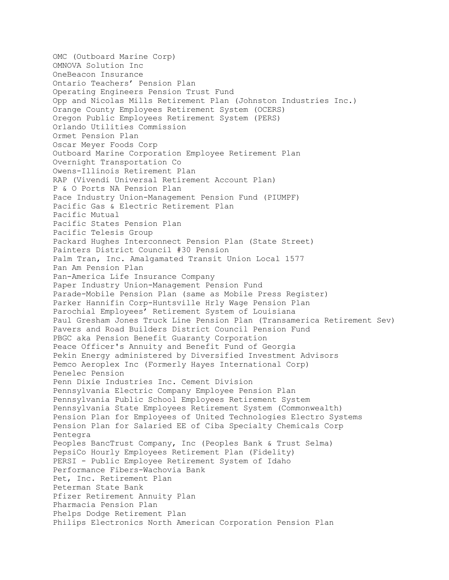OMC (Outboard Marine Corp) OMNOVA Solution Inc OneBeacon Insurance Ontario Teachers' Pension Plan Operating Engineers Pension Trust Fund Opp and Nicolas Mills Retirement Plan (Johnston Industries Inc.) Orange County Employees Retirement System (OCERS) Oregon Public Employees Retirement System (PERS) Orlando Utilities Commission Ormet Pension Plan Oscar Meyer Foods Corp Outboard Marine Corporation Employee Retirement Plan Overnight Transportation Co Owens-Illinois Retirement Plan RAP (Vivendi Universal Retirement Account Plan) P & O Ports NA Pension Plan Pace Industry Union-Management Pension Fund (PIUMPF) Pacific Gas & Electric Retirement Plan Pacific Mutual Pacific States Pension Plan Pacific Telesis Group Packard Hughes Interconnect Pension Plan (State Street) Painters District Council #30 Pension Palm Tran, Inc. Amalgamated Transit Union Local 1577 Pan Am Pension Plan Pan-America Life Insurance Company Paper Industry Union-Management Pension Fund Parade-Mobile Pension Plan (same as Mobile Press Register) Parker Hannifin Corp-Huntsville Hrly Wage Pension Plan Parochial Employees' Retirement System of Louisiana Paul Gresham Jones Truck Line Pension Plan (Transamerica Retirement Sev) Pavers and Road Builders District Council Pension Fund PBGC aka Pension Benefit Guaranty Corporation Peace Officer's Annuity and Benefit Fund of Georgia Pekin Energy administered by Diversified Investment Advisors Pemco Aeroplex Inc (Formerly Hayes International Corp) Penelec Pension Penn Dixie Industries Inc. Cement Division Pennsylvania Electric Company Employee Pension Plan Pennsylvania Public School Employees Retirement System Pennsylvania State Employees Retirement System (Commonwealth) Pension Plan for Employees of United Technologies Electro Systems Pension Plan for Salaried EE of Ciba Specialty Chemicals Corp Pentegra Peoples BancTrust Company, Inc (Peoples Bank & Trust Selma) PepsiCo Hourly Employees Retirement Plan (Fidelity) PERSI - Public Employee Retirement System of Idaho Performance Fibers-Wachovia Bank Pet, Inc. Retirement Plan Peterman State Bank Pfizer Retirement Annuity Plan Pharmacia Pension Plan Phelps Dodge Retirement Plan Philips Electronics North American Corporation Pension Plan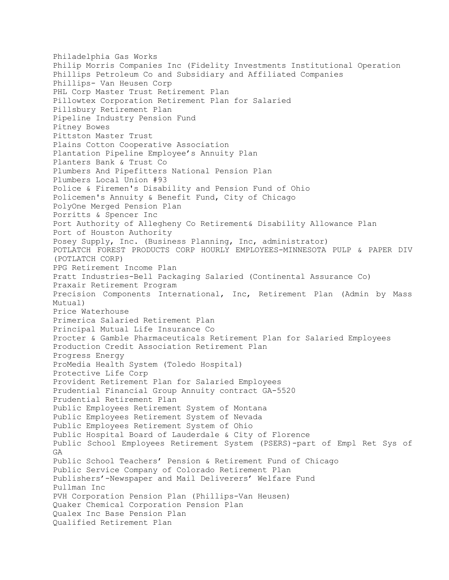Philadelphia Gas Works Philip Morris Companies Inc (Fidelity Investments Institutional Operation Phillips Petroleum Co and Subsidiary and Affiliated Companies Phillips- Van Heusen Corp PHL Corp Master Trust Retirement Plan Pillowtex Corporation Retirement Plan for Salaried Pillsbury Retirement Plan Pipeline Industry Pension Fund Pitney Bowes Pittston Master Trust Plains Cotton Cooperative Association Plantation Pipeline Employee's Annuity Plan Planters Bank & Trust Co Plumbers And Pipefitters National Pension Plan Plumbers Local Union #93 Police & Firemen's Disability and Pension Fund of Ohio Policemen's Annuity & Benefit Fund, City of Chicago PolyOne Merged Pension Plan Porritts & Spencer Inc Port Authority of Allegheny Co Retirement& Disability Allowance Plan Port of Houston Authority Posey Supply, Inc. (Business Planning, Inc, administrator) POTLATCH FOREST PRODUCTS CORP HOURLY EMPLOYEES-MINNESOTA PULP & PAPER DIV (POTLATCH CORP) PPG Retirement Income Plan Pratt Industries-Bell Packaging Salaried (Continental Assurance Co) Praxair Retirement Program Precision Components International, Inc, Retirement Plan (Admin by Mass Mutual) Price Waterhouse Primerica Salaried Retirement Plan Principal Mutual Life Insurance Co Procter & Gamble Pharmaceuticals Retirement Plan for Salaried Employees Production Credit Association Retirement Plan Progress Energy ProMedia Health System (Toledo Hospital) Protective Life Corp Provident Retirement Plan for Salaried Employees Prudential Financial Group Annuity contract GA-5520 Prudential Retirement Plan Public Employees Retirement System of Montana Public Employees Retirement System of Nevada Public Employees Retirement System of Ohio Public Hospital Board of Lauderdale & City of Florence Public School Employees Retirement System (PSERS)-part of Empl Ret Sys of GA Public School Teachers' Pension & Retirement Fund of Chicago Public Service Company of Colorado Retirement Plan Publishers'-Newspaper and Mail Deliverers' Welfare Fund Pullman Inc PVH Corporation Pension Plan (Phillips-Van Heusen) Quaker Chemical Corporation Pension Plan Qualex Inc Base Pension Plan Qualified Retirement Plan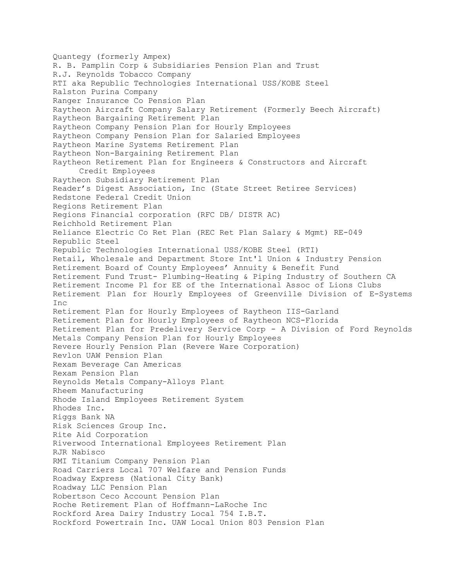Quantegy (formerly Ampex) R. B. Pamplin Corp & Subsidiaries Pension Plan and Trust R.J. Reynolds Tobacco Company RTI aka Republic Technologies International USS/KOBE Steel Ralston Purina Company Ranger Insurance Co Pension Plan Raytheon Aircraft Company Salary Retirement (Formerly Beech Aircraft) Raytheon Bargaining Retirement Plan Raytheon Company Pension Plan for Hourly Employees Raytheon Company Pension Plan for Salaried Employees Raytheon Marine Systems Retirement Plan Raytheon Non-Bargaining Retirement Plan Raytheon Retirement Plan for Engineers & Constructors and Aircraft Credit Employees Raytheon Subsidiary Retirement Plan Reader's Digest Association, Inc (State Street Retiree Services) Redstone Federal Credit Union Regions Retirement Plan Regions Financial corporation (RFC DB/ DISTR AC) Reichhold Retirement Plan Reliance Electric Co Ret Plan (REC Ret Plan Salary & Mgmt) RE-049 Republic Steel Republic Technologies International USS/KOBE Steel (RTI) Retail, Wholesale and Department Store Int'l Union & Industry Pension Retirement Board of County Employees' Annuity & Benefit Fund Retirement Fund Trust- Plumbing-Heating & Piping Industry of Southern CA Retirement Income Pl for EE of the International Assoc of Lions Clubs Retirement Plan for Hourly Employees of Greenville Division of E-Systems Inc Retirement Plan for Hourly Employees of Raytheon IIS-Garland Retirement Plan for Hourly Employees of Raytheon NCS-Florida Retirement Plan for Predelivery Service Corp - A Division of Ford Reynolds Metals Company Pension Plan for Hourly Employees Revere Hourly Pension Plan (Revere Ware Corporation) Revlon UAW Pension Plan Rexam Beverage Can Americas Rexam Pension Plan Reynolds Metals Company-Alloys Plant Rheem Manufacturing Rhode Island Employees Retirement System Rhodes Inc. Riggs Bank NA Risk Sciences Group Inc. Rite Aid Corporation Riverwood International Employees Retirement Plan RJR Nabisco RMI Titanium Company Pension Plan Road Carriers Local 707 Welfare and Pension Funds Roadway Express (National City Bank) Roadway LLC Pension Plan Robertson Ceco Account Pension Plan Roche Retirement Plan of Hoffmann-LaRoche Inc Rockford Area Dairy Industry Local 754 I.B.T. Rockford Powertrain Inc. UAW Local Union 803 Pension Plan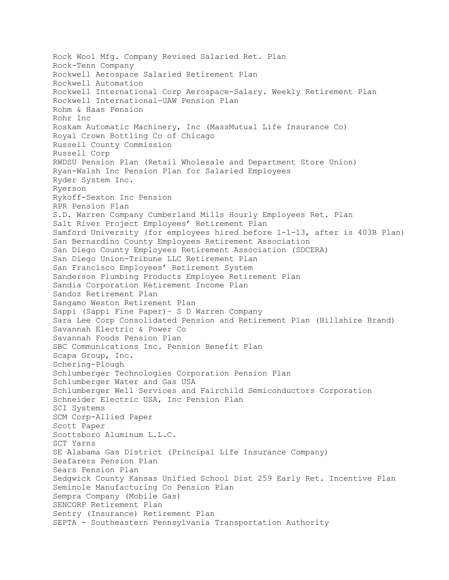Rock Wool Mfg. Company Revised Salaried Ret. Plan Rock-Tenn Company Rockwell Aerospace Salaried Retirement Plan Rockwell Automation Rockwell International Corp Aerospace-Salary. Weekly Retirement Plan Rockwell International-UAW Pension Plan Rohm & Haas Pension Rohr Inc Roskam Automatic Machinery, Inc (MassMutual Life Insurance Co) Royal Crown Bottling Co of Chicago Russell County Commission Russell Corp RWDSU Pension Plan (Retail Wholesale and Department Store Union) Ryan-Walsh Inc Pension Plan for Salaried Employees Ryder System Inc. Ryerson Rykoff-Sexton Inc Pension RPR Pension Plan S.D. Warren Company Cumberland Mills Hourly Employees Ret. Plan Salt River Project Employees' Retirement Plan Samford University (for employees hired before 1-1-13, after is 403B Plan) San Bernardino County Employees Retirement Association San Diego County Employees Retirement Association (SDCERA) San Diego Union-Tribune LLC Retirement Plan San Francisco Employees' Retirement System Sanderson Plumbing Products Employee Retirement Plan Sandia Corporation Retirement Income Plan Sandoz Retirement Plan Sangamo Weston Retirement Plan Sappi (Sappi Fine Paper)– S D Warren Company Sara Lee Corp Consolidated Pension and Retirement Plan (Hillshire Brand) Savannah Electric & Power Co Savannah Foods Pension Plan SBC Communications Inc. Pension Benefit Plan Scapa Group, Inc. Schering-Plough Schlumberger Technologies Corporation Pension Plan Schlumberger Water and Gas USA Schlumberger Well Services and Fairchild Semiconductors Corporation Schneider Electric USA, Inc Pension Plan SCI Systems SCM Corp-Allied Paper Scott Paper Scottsboro Aluminum L.L.C. SCT Yarns SE Alabama Gas District (Principal Life Insurance Company) Seafarers Pension Plan Sears Pension Plan Sedgwick County Kansas Unified School Dist 259 Early Ret. Incentive Plan Seminole Manufacturing Co Pension Plan Sempra Company (Mobile Gas) SENCORP Retirement Plan Sentry (Insurance) Retirement Plan SEPTA - Southeastern Pennsylvania Transportation Authority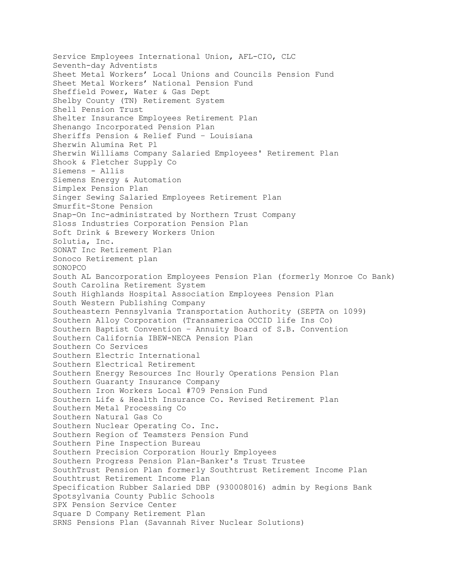Service Employees International Union, AFL-CIO, CLC Seventh-day Adventists Sheet Metal Workers' Local Unions and Councils Pension Fund Sheet Metal Workers' National Pension Fund Sheffield Power, Water & Gas Dept Shelby County (TN) Retirement System Shell Pension Trust Shelter Insurance Employees Retirement Plan Shenango Incorporated Pension Plan Sheriffs Pension & Relief Fund – Louisiana Sherwin Alumina Ret Pl Sherwin Williams Company Salaried Employees' Retirement Plan Shook & Fletcher Supply Co Siemens - Allis Siemens Energy & Automation Simplex Pension Plan Singer Sewing Salaried Employees Retirement Plan Smurfit-Stone Pension Snap-On Inc-administrated by Northern Trust Company Sloss Industries Corporation Pension Plan Soft Drink & Brewery Workers Union Solutia, Inc. SONAT Inc Retirement Plan Sonoco Retirement plan SONOPCO South AL Bancorporation Employees Pension Plan (formerly Monroe Co Bank) South Carolina Retirement System South Highlands Hospital Association Employees Pension Plan South Western Publishing Company Southeastern Pennsylvania Transportation Authority (SEPTA on 1099) Southern Alloy Corporation (Transamerica OCCID life Ins Co) Southern Baptist Convention – Annuity Board of S.B. Convention Southern California IBEW-NECA Pension Plan Southern Co Services Southern Electric International Southern Electrical Retirement Southern Energy Resources Inc Hourly Operations Pension Plan Southern Guaranty Insurance Company Southern Iron Workers Local #709 Pension Fund Southern Life & Health Insurance Co. Revised Retirement Plan Southern Metal Processing Co Southern Natural Gas Co Southern Nuclear Operating Co. Inc. Southern Region of Teamsters Pension Fund Southern Pine Inspection Bureau Southern Precision Corporation Hourly Employees Southern Progress Pension Plan-Banker's Trust Trustee SouthTrust Pension Plan formerly Southtrust Retirement Income Plan Southtrust Retirement Income Plan Specification Rubber Salaried DBP (930008016) admin by Regions Bank Spotsylvania County Public Schools SPX Pension Service Center Square D Company Retirement Plan SRNS Pensions Plan (Savannah River Nuclear Solutions)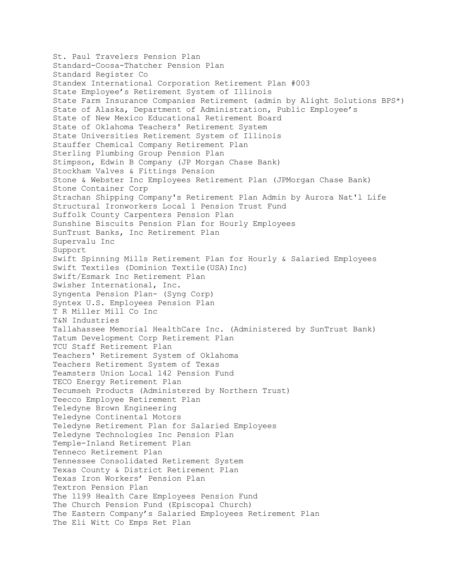St. Paul Travelers Pension Plan Standard-Coosa-Thatcher Pension Plan Standard Register Co Standex International Corporation Retirement Plan #003 State Employee's Retirement System of Illinois State Farm Insurance Companies Retirement (admin by Alight Solutions BPS\*) State of Alaska, Department of Administration, Public Employee's State of New Mexico Educational Retirement Board State of Oklahoma Teachers' Retirement System State Universities Retirement System of Illinois Stauffer Chemical Company Retirement Plan Sterling Plumbing Group Pension Plan Stimpson, Edwin B Company (JP Morgan Chase Bank) Stockham Valves & Fittings Pension Stone & Webster Inc Employees Retirement Plan (JPMorgan Chase Bank) Stone Container Corp Strachan Shipping Company's Retirement Plan Admin by Aurora Nat'l Life Structural Ironworkers Local 1 Pension Trust Fund Suffolk County Carpenters Pension Plan Sunshine Biscuits Pension Plan for Hourly Employees SunTrust Banks, Inc Retirement Plan Supervalu Inc Support Swift Spinning Mills Retirement Plan for Hourly & Salaried Employees Swift Textiles (Dominion Textile(USA)Inc) Swift/Esmark Inc Retirement Plan Swisher International, Inc. Syngenta Pension Plan- (Syng Corp) Syntex U.S. Employees Pension Plan T R Miller Mill Co Inc T&N Industries Tallahassee Memorial HealthCare Inc. (Administered by SunTrust Bank) Tatum Development Corp Retirement Plan TCU Staff Retirement Plan Teachers' Retirement System of Oklahoma Teachers Retirement System of Texas Teamsters Union Local 142 Pension Fund TECO Energy Retirement Plan Tecumseh Products (Administered by Northern Trust) Teecco Employee Retirement Plan Teledyne Brown Engineering Teledyne Continental Motors Teledyne Retirement Plan for Salaried Employees Teledyne Technologies Inc Pension Plan Temple-Inland Retirement Plan Tenneco Retirement Plan Tennessee Consolidated Retirement System Texas County & District Retirement Plan Texas Iron Workers' Pension Plan Textron Pension Plan The 1199 Health Care Employees Pension Fund The Church Pension Fund (Episcopal Church) The Eastern Company's Salaried Employees Retirement Plan The Eli Witt Co Emps Ret Plan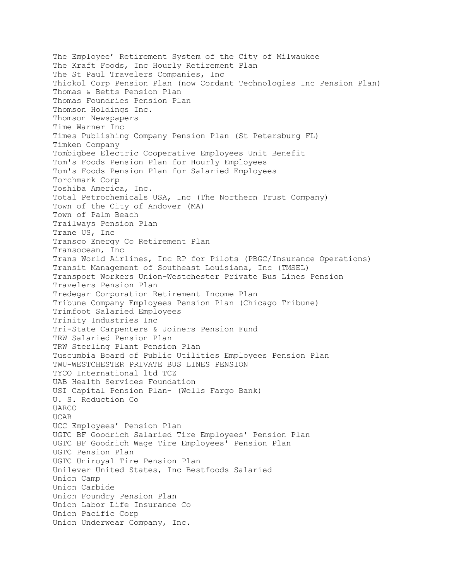The Employee' Retirement System of the City of Milwaukee The Kraft Foods, Inc Hourly Retirement Plan The St Paul Travelers Companies, Inc Thiokol Corp Pension Plan (now Cordant Technologies Inc Pension Plan) Thomas & Betts Pension Plan Thomas Foundries Pension Plan Thomson Holdings Inc. Thomson Newspapers Time Warner Inc Times Publishing Company Pension Plan (St Petersburg FL) Timken Company Tombigbee Electric Cooperative Employees Unit Benefit Tom's Foods Pension Plan for Hourly Employees Tom's Foods Pension Plan for Salaried Employees Torchmark Corp Toshiba America, Inc. Total Petrochemicals USA, Inc (The Northern Trust Company) Town of the City of Andover (MA) Town of Palm Beach Trailways Pension Plan Trane US, Inc Transco Energy Co Retirement Plan Transocean, Inc Trans World Airlines, Inc RP for Pilots (PBGC/Insurance Operations) Transit Management of Southeast Louisiana, Inc (TMSEL) Transport Workers Union-Westchester Private Bus Lines Pension Travelers Pension Plan Tredegar Corporation Retirement Income Plan Tribune Company Employees Pension Plan (Chicago Tribune) Trimfoot Salaried Employees Trinity Industries Inc Tri-State Carpenters & Joiners Pension Fund TRW Salaried Pension Plan TRW Sterling Plant Pension Plan Tuscumbia Board of Public Utilities Employees Pension Plan TWU-WESTCHESTER PRIVATE BUS LINES PENSION TYCO International ltd TCZ UAB Health Services Foundation USI Capital Pension Plan- (Wells Fargo Bank) U. S. Reduction Co UARCO UCAR UCC Employees' Pension Plan UGTC BF Goodrich Salaried Tire Employees' Pension Plan UGTC BF Goodrich Wage Tire Employees' Pension Plan UGTC Pension Plan UGTC Uniroyal Tire Pension Plan Unilever United States, Inc Bestfoods Salaried Union Camp Union Carbide Union Foundry Pension Plan Union Labor Life Insurance Co Union Pacific Corp Union Underwear Company, Inc.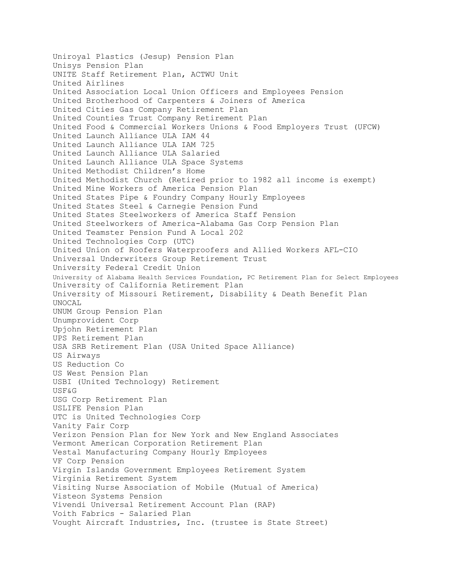Uniroyal Plastics (Jesup) Pension Plan Unisys Pension Plan UNITE Staff Retirement Plan, ACTWU Unit United Airlines United Association Local Union Officers and Employees Pension United Brotherhood of Carpenters & Joiners of America United Cities Gas Company Retirement Plan United Counties Trust Company Retirement Plan United Food & Commercial Workers Unions & Food Employers Trust (UFCW) United Launch Alliance ULA IAM 44 United Launch Alliance ULA IAM 725 United Launch Alliance ULA Salaried United Launch Alliance ULA Space Systems United Methodist Children's Home United Methodist Church (Retired prior to 1982 all income is exempt) United Mine Workers of America Pension Plan United States Pipe & Foundry Company Hourly Employees United States Steel & Carnegie Pension Fund United States Steelworkers of America Staff Pension United Steelworkers of America-Alabama Gas Corp Pension Plan United Teamster Pension Fund A Local 202 United Technologies Corp (UTC) United Union of Roofers Waterproofers and Allied Workers AFL-CIO Universal Underwriters Group Retirement Trust University Federal Credit Union University of Alabama Health Services Foundation, PC Retirement Plan for Select Employees University of California Retirement Plan University of Missouri Retirement, Disability & Death Benefit Plan UNOCAL UNUM Group Pension Plan Unumprovident Corp Upjohn Retirement Plan UPS Retirement Plan USA SRB Retirement Plan (USA United Space Alliance) US Airways US Reduction Co US West Pension Plan USBI (United Technology) Retirement USF&G USG Corp Retirement Plan USLIFE Pension Plan UTC is United Technologies Corp Vanity Fair Corp Verizon Pension Plan for New York and New England Associates Vermont American Corporation Retirement Plan Vestal Manufacturing Company Hourly Employees VF Corp Pension Virgin Islands Government Employees Retirement System Virginia Retirement System Visiting Nurse Association of Mobile (Mutual of America) Visteon Systems Pension Vivendi Universal Retirement Account Plan (RAP) Voith Fabrics - Salaried Plan Vought Aircraft Industries, Inc. (trustee is State Street)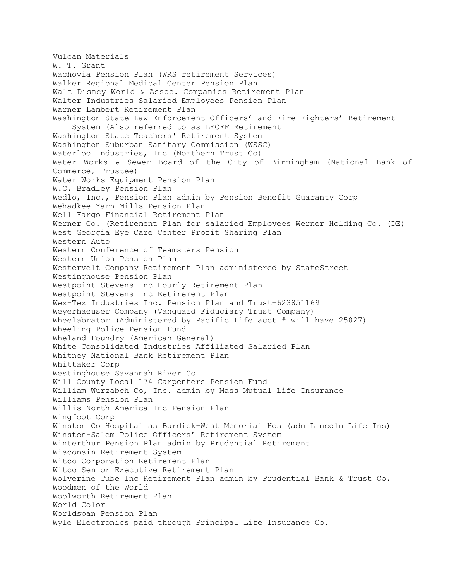Vulcan Materials W. T. Grant Wachovia Pension Plan (WRS retirement Services) Walker Regional Medical Center Pension Plan Walt Disney World & Assoc. Companies Retirement Plan Walter Industries Salaried Employees Pension Plan Warner Lambert Retirement Plan Washington State Law Enforcement Officers' and Fire Fighters' Retirement System (Also referred to as LEOFF Retirement Washington State Teachers' Retirement System Washington Suburban Sanitary Commission (WSSC) Waterloo Industries, Inc (Northern Trust Co) Water Works & Sewer Board of the City of Birmingham (National Bank of Commerce, Trustee) Water Works Equipment Pension Plan W.C. Bradley Pension Plan Wedlo, Inc., Pension Plan admin by Pension Benefit Guaranty Corp Wehadkee Yarn Mills Pension Plan Well Fargo Financial Retirement Plan Werner Co. (Retirement Plan for salaried Employees Werner Holding Co. (DE) West Georgia Eye Care Center Profit Sharing Plan Western Auto Western Conference of Teamsters Pension Western Union Pension Plan Westervelt Company Retirement Plan administered by StateStreet Westinghouse Pension Plan Westpoint Stevens Inc Hourly Retirement Plan Westpoint Stevens Inc Retirement Plan Wex-Tex Industries Inc. Pension Plan and Trust-623851169 Weyerhaeuser Company (Vanguard Fiduciary Trust Company) Wheelabrator (Administered by Pacific Life acct # will have 25827) Wheeling Police Pension Fund Wheland Foundry (American General) White Consolidated Industries Affiliated Salaried Plan Whitney National Bank Retirement Plan Whittaker Corp Westinghouse Savannah River Co Will County Local 174 Carpenters Pension Fund William Wurzabch Co, Inc. admin by Mass Mutual Life Insurance Williams Pension Plan Willis North America Inc Pension Plan Wingfoot Corp Winston Co Hospital as Burdick-West Memorial Hos (adm Lincoln Life Ins) Winston-Salem Police Officers' Retirement System Winterthur Pension Plan admin by Prudential Retirement Wisconsin Retirement System Witco Corporation Retirement Plan Witco Senior Executive Retirement Plan Wolverine Tube Inc Retirement Plan admin by Prudential Bank & Trust Co. Woodmen of the World Woolworth Retirement Plan World Color Worldspan Pension Plan Wyle Electronics paid through Principal Life Insurance Co.